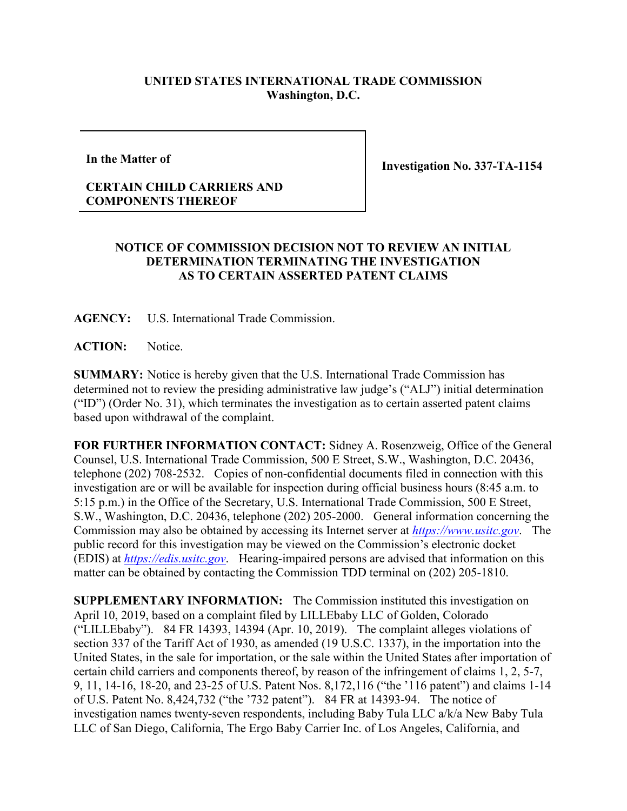## **UNITED STATES INTERNATIONAL TRADE COMMISSION Washington, D.C.**

**In the Matter of**

**Investigation No. 337-TA-1154**

## **CERTAIN CHILD CARRIERS AND COMPONENTS THEREOF**

## **NOTICE OF COMMISSION DECISION NOT TO REVIEW AN INITIAL DETERMINATION TERMINATING THE INVESTIGATION AS TO CERTAIN ASSERTED PATENT CLAIMS**

**AGENCY:** U.S. International Trade Commission.

ACTION: Notice.

**SUMMARY:** Notice is hereby given that the U.S. International Trade Commission has determined not to review the presiding administrative law judge's ("ALJ") initial determination ("ID") (Order No. 31), which terminates the investigation as to certain asserted patent claims based upon withdrawal of the complaint.

**FOR FURTHER INFORMATION CONTACT:** Sidney A. Rosenzweig, Office of the General Counsel, U.S. International Trade Commission, 500 E Street, S.W., Washington, D.C. 20436, telephone (202) 708-2532. Copies of non-confidential documents filed in connection with this investigation are or will be available for inspection during official business hours (8:45 a.m. to 5:15 p.m.) in the Office of the Secretary, U.S. International Trade Commission, 500 E Street, S.W., Washington, D.C. 20436, telephone (202) 205-2000. General information concerning the Commission may also be obtained by accessing its Internet server at *[https://www.usitc.gov](https://www.usitc.gov/)*. The public record for this investigation may be viewed on the Commission's electronic docket (EDIS) at *[https://edis.usitc.gov](https://edis.usitc.gov/)*. Hearing-impaired persons are advised that information on this matter can be obtained by contacting the Commission TDD terminal on (202) 205-1810.

**SUPPLEMENTARY INFORMATION:** The Commission instituted this investigation on April 10, 2019, based on a complaint filed by LILLEbaby LLC of Golden, Colorado ("LILLEbaby"). 84 FR 14393, 14394 (Apr. 10, 2019). The complaint alleges violations of section 337 of the Tariff Act of 1930, as amended (19 U.S.C. 1337), in the importation into the United States, in the sale for importation, or the sale within the United States after importation of certain child carriers and components thereof, by reason of the infringement of claims 1, 2, 5-7, 9, 11, 14-16, 18-20, and 23-25 of U.S. Patent Nos. 8,172,116 ("the '116 patent") and claims 1-14 of U.S. Patent No. 8,424,732 ("the '732 patent"). 84 FR at 14393-94. The notice of investigation names twenty-seven respondents, including Baby Tula LLC a/k/a New Baby Tula LLC of San Diego, California, The Ergo Baby Carrier Inc. of Los Angeles, California, and